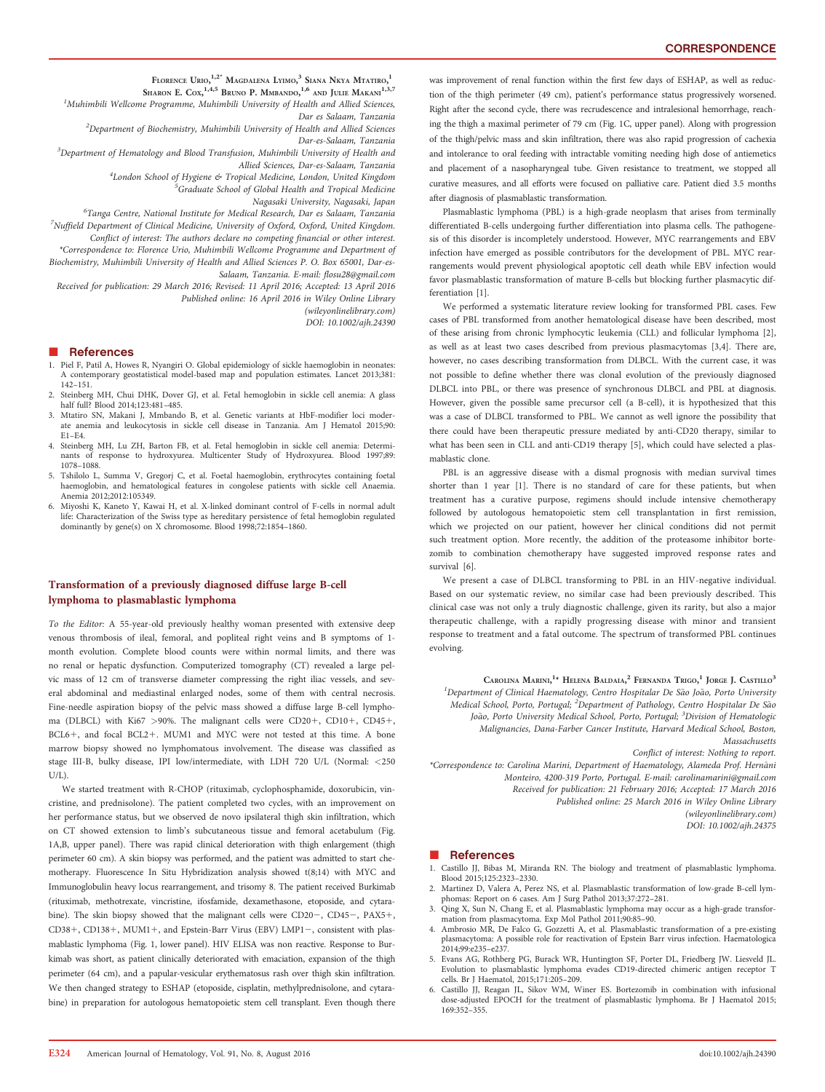FLORENCE URIO,<sup>1,2\*</sup> Magdalena Lyimo,<sup>3</sup> Siana Nkya Mtatiro,<sup>1</sup>

SHARON E. COX, <sup>1,4,5</sup> BRUNO P. MMBANDO, <sup>1,6</sup> AND JULIE MAKANI<sup>1,3,7</sup> <sup>1</sup>Muhimbili Wellcome Programme, Muhimbili University of Health and Allied Sciences,

Dar es Salaam, Tanzania  $^{2}$ Department of Biochemistry, Muhimbili University of Health and Allied Sciences

Dar-es-Salaam, Tanzania

<sup>3</sup>Department of Hematology and Blood Transfusion, Muhimbili University of Health and Allied Sciences, Dar-es-Salaam, Tanzania

4London School of Hygiene & Tropical Medicine, London, United Kingdom

<sup>5</sup>Graduate School of Global Health and Tropical Medicine

Nagasaki University, Nagasaki, Japan

<sup>6</sup>Tanga Centre, National Institute for Medical Research, Dar es Salaam, Tanzania  $^7$ Nuffield Department of Clinical Medicine, University of Oxford, Oxford, United Kingdom. Conflict of interest: The authors declare no competing financial or other interest.

\*Correspondence to: Florence Urio, Muhimbili Wellcome Programme and Department of Biochemistry, Muhimbili University of Health and Allied Sciences P. O. Box 65001, Dar-es-Salaam, Tanzania. E-mail: flosu28@gmail.com

Received for publication: 29 March 2016; Revised: 11 April 2016; Accepted: 13 April 2016 Published online: 16 April 2016 in Wiley Online Library

(wileyonlinelibrary.com)

DOI: 10.1002/ajh.24390

## **References**

- 1. Piel F, Patil A, Howes R, Nyangiri O. Global epidemiology of sickle haemoglobin in neonates: A contemporary geostatistical model-based map and population estimates. Lancet 2013;381: 142–151.
- 2. Steinberg MH, Chui DHK, Dover GJ, et al. Fetal hemoglobin in sickle cell anemia: A glass half full? Blood 2014;123:481–485.
- 3. Mtatiro SN, Makani J, Mmbando B, et al. Genetic variants at HbF-modifier loci moderate anemia and leukocytosis in sickle cell disease in Tanzania. Am J Hematol 2015;90: E1–E4.
- 4. Steinberg MH, Lu ZH, Barton FB, et al. Fetal hemoglobin in sickle cell anemia: Determinants of response to hydroxyurea. Multicenter Study of Hydroxyurea. Blood 1997;89: 1078–1088.
- 5. Tshilolo L, Summa V, Gregorj C, et al. Foetal haemoglobin, erythrocytes containing foetal haemoglobin, and hematological features in congolese patients with sickle cell Anaemia. Anemia 2012;2012:105349.
- 6. Miyoshi K, Kaneto Y, Kawai H, et al. X-linked dominant control of F-cells in normal adult life: Characterization of the Swiss type as hereditary persistence of fetal hemoglobin regulated dominantly by gene(s) on X chromosome. Blood 1998;72:1854–1860.

## Transformation of a previously diagnosed diffuse large B-cell lymphoma to plasmablastic lymphoma

To the Editor: A 55-year-old previously healthy woman presented with extensive deep venous thrombosis of ileal, femoral, and popliteal right veins and B symptoms of 1 month evolution. Complete blood counts were within normal limits, and there was no renal or hepatic dysfunction. Computerized tomography (CT) revealed a large pelvic mass of 12 cm of transverse diameter compressing the right iliac vessels, and several abdominal and mediastinal enlarged nodes, some of them with central necrosis. Fine-needle aspiration biopsy of the pelvic mass showed a diffuse large B-cell lymphoma (DLBCL) with Ki67 >90%. The malignant cells were CD20+, CD10+, CD45+, BCL6+, and focal BCL2+. MUM1 and MYC were not tested at this time. A bone marrow biopsy showed no lymphomatous involvement. The disease was classified as stage III-B, bulky disease, IPI low/intermediate, with LDH 720 U/L (Normal: <250  $U/I$ .).

We started treatment with R-CHOP (rituximab, cyclophosphamide, doxorubicin, vincristine, and prednisolone). The patient completed two cycles, with an improvement on her performance status, but we observed de novo ipsilateral thigh skin infiltration, which on CT showed extension to limb's subcutaneous tissue and femoral acetabulum (Fig. 1A,B, upper panel). There was rapid clinical deterioration with thigh enlargement (thigh perimeter 60 cm). A skin biopsy was performed, and the patient was admitted to start chemotherapy. Fluorescence In Situ Hybridization analysis showed t(8;14) with MYC and Immunoglobulin heavy locus rearrangement, and trisomy 8. The patient received Burkimab (rituximab, methotrexate, vincristine, ifosfamide, dexamethasone, etoposide, and cytarabine). The skin biopsy showed that the malignant cells were CD20-, CD45-, PAX5+, CD38+, CD138+, MUM1+, and Epstein-Barr Virus (EBV) LMP1-, consistent with plasmablastic lymphoma (Fig. 1, lower panel). HIV ELISA was non reactive. Response to Burkimab was short, as patient clinically deteriorated with emaciation, expansion of the thigh perimeter (64 cm), and a papular-vesicular erythematosus rash over thigh skin infiltration. We then changed strategy to ESHAP (etoposide, cisplatin, methylprednisolone, and cytarabine) in preparation for autologous hematopoietic stem cell transplant. Even though there was improvement of renal function within the first few days of ESHAP, as well as reduction of the thigh perimeter (49 cm), patient's performance status progressively worsened. Right after the second cycle, there was recrudescence and intralesional hemorrhage, reaching the thigh a maximal perimeter of 79 cm (Fig. 1C, upper panel). Along with progression of the thigh/pelvic mass and skin infiltration, there was also rapid progression of cachexia and intolerance to oral feeding with intractable vomiting needing high dose of antiemetics and placement of a nasopharyngeal tube. Given resistance to treatment, we stopped all curative measures, and all efforts were focused on palliative care. Patient died 3.5 months after diagnosis of plasmablastic transformation.

Plasmablastic lymphoma (PBL) is a high-grade neoplasm that arises from terminally differentiated B-cells undergoing further differentiation into plasma cells. The pathogenesis of this disorder is incompletely understood. However, MYC rearrangements and EBV infection have emerged as possible contributors for the development of PBL. MYC rearrangements would prevent physiological apoptotic cell death while EBV infection would favor plasmablastic transformation of mature B-cells but blocking further plasmacytic differentiation [1].

We performed a systematic literature review looking for transformed PBL cases. Few cases of PBL transformed from another hematological disease have been described, most of these arising from chronic lymphocytic leukemia (CLL) and follicular lymphoma [2], as well as at least two cases described from previous plasmacytomas [3,4]. There are, however, no cases describing transformation from DLBCL. With the current case, it was not possible to define whether there was clonal evolution of the previously diagnosed DLBCL into PBL, or there was presence of synchronous DLBCL and PBL at diagnosis. However, given the possible same precursor cell (a B-cell), it is hypothesized that this was a case of DLBCL transformed to PBL. We cannot as well ignore the possibility that there could have been therapeutic pressure mediated by anti-CD20 therapy, similar to what has been seen in CLL and anti-CD19 therapy [5], which could have selected a plasmablastic clone.

PBL is an aggressive disease with a dismal prognosis with median survival times shorter than 1 year [1]. There is no standard of care for these patients, but when treatment has a curative purpose, regimens should include intensive chemotherapy followed by autologous hematopoietic stem cell transplantation in first remission, which we projected on our patient, however her clinical conditions did not permit such treatment option. More recently, the addition of the proteasome inhibitor bortezomib to combination chemotherapy have suggested improved response rates and survival [6].

We present a case of DLBCL transforming to PBL in an HIV-negative individual. Based on our systematic review, no similar case had been previously described. This clinical case was not only a truly diagnostic challenge, given its rarity, but also a major therapeutic challenge, with a rapidly progressing disease with minor and transient response to treatment and a fatal outcome. The spectrum of transformed PBL continues evolving.

CAROLINA MARINI,<sup>1</sup>\* HELENA BALDAIA,<sup>2</sup> FERNANDA TRIGO,<sup>1</sup> JORGE J. CASTILLO<sup>3</sup> <sup>1</sup>Department of Clinical Haematology, Centro Hospitalar De São João, Porto University Medical School, Porto, Portugal; <sup>2</sup>Department of Pathology, Centro Hospitalar De São João, Porto University Medical School, Porto, Portugal; <sup>3</sup>Division of Hematologic Malignancies, Dana-Farber Cancer Institute, Harvard Medical School, Boston, **Massachusetts** 

Conflict of interest: Nothing to report.

\*Correspondence to: Carolina Marini, Department of Haematology, Alameda Prof. Hern^ani Monteiro, 4200-319 Porto, Portugal. E-mail: carolinamarini@gmail.com Received for publication: 21 February 2016; Accepted: 17 March 2016 Published online: 25 March 2016 in Wiley Online Library (wileyonlinelibrary.com) DOI: 10.1002/ajh.24375

## -References

- 1. Castillo JJ, Bibas M, Miranda RN. The biology and treatment of plasmablastic lymphoma. Blood 2015;125:2323–2330.
- 2. Martinez D, Valera A, Perez NS, et al. Plasmablastic transformation of low-grade B-cell lymphomas: Report on 6 cases. Am J Surg Pathol 2013;37:272–281.
- 3. Qing X, Sun N, Chang E, et al. Plasmablastic lymphoma may occur as a high-grade transformation from plasmacytoma. Exp Mol Pathol 2011;90:85–90.
- 4. Ambrosio MR, De Falco G, Gozzetti A, et al. Plasmablastic transformation of a pre-existing plasmacytoma: A possible role for reactivation of Epstein Barr virus infection. Haematologica 2014;99:e235–e237.
- 5. Evans AG, Rothberg PG, Burack WR, Huntington SF, Porter DL, Friedberg JW. Liesveld JL. Evolution to plasmablastic lymphoma evades CD19-directed chimeric antigen receptor T cells. Br J Haematol, 2015;171:205–209.
- 6. Castillo JJ, Reagan JL, Sikov WM, Winer ES. Bortezomib in combination with infusional dose-adjusted EPOCH for the treatment of plasmablastic lymphoma. Br J Haematol 2015; 169:352–355.